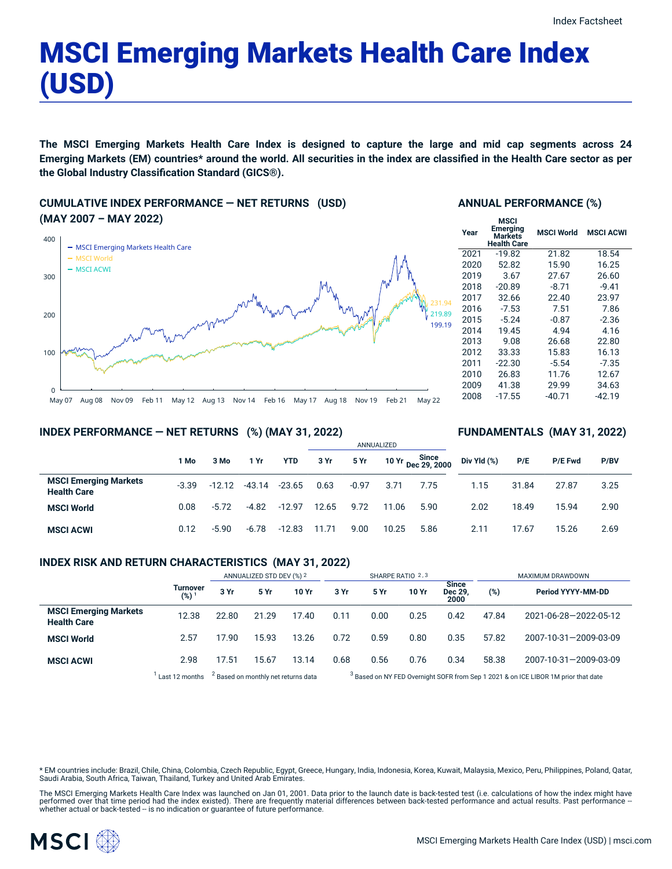# MSCI Emerging Markets Health Care Index (USD)

The MSCI Emerging Markets Health Care Index is designed to capture the large and mid cap segments across 24 Emerging Markets (EM) countries\* around the world. All securities in the index are classified in the Health Care sector as per **the Global Industry Classification Standard (GICS®).**

## **CUMULATIVE INDEX PERFORMANCE — NET RETURNS (USD) (MAY 2007 – MAY 2022)**



## **ANNUAL PERFORMANCE (%)**

| <b>MSCI</b><br>Emerging<br>Markets<br><b>Health Care</b> | <b>MSCI World</b> | <b>MSCI ACWI</b> |
|----------------------------------------------------------|-------------------|------------------|
| $-19.82$                                                 | 21.82             | 18.54            |
| 52.82                                                    | 15.90             | 16.25            |
| 3.67                                                     | 27.67             | 26.60            |
| $-20.89$                                                 | $-8.71$           | $-9.41$          |
| 32.66                                                    | 22.40             | 23.97            |
| $-7.53$                                                  | 7.51              | 7.86             |
| $-5.24$                                                  | $-0.87$           | $-2.36$          |
| 19.45                                                    | 4.94              | 4.16             |
| 9.08                                                     | 26.68             | 22.80            |
| 33.33                                                    | 15.83             | 16.13            |
| $-22.30$                                                 | $-5.54$           | $-7.35$          |
| 26.83                                                    | 11.76             | 12.67            |
| 41.38                                                    | 29.99             | 34.63            |
| $-17.55$                                                 | $-40.71$          | -42.19           |
|                                                          |                   |                  |

**FUNDAMENTALS (MAY 31, 2022)**

## **INDEX PERFORMANCE — NET RETURNS (%) (MAY 31, 2022)**

|                                                    |         |          |          |            | ANNUALIZED |         |       |                             |             |       |                |      |
|----------------------------------------------------|---------|----------|----------|------------|------------|---------|-------|-----------------------------|-------------|-------|----------------|------|
|                                                    | 1 Mo    | 3 Mo     | 1 Yr     | <b>YTD</b> | 3 Yr       | 5 Yr    |       | Since<br>10 Yr Dec 29, 2000 | Div Yld (%) | P/E   | <b>P/E Fwd</b> | P/BV |
| <b>MSCI Emerging Markets</b><br><b>Health Care</b> | $-3.39$ | $-12.12$ | $-43.14$ | $-23.65$   | 0.63       | $-0.97$ | 3.71  | 7.75                        | 1.15        | 31.84 | 27.87          | 3.25 |
| <b>MSCI World</b>                                  | 0.08    | $-5.72$  | $-4.82$  | $-12.97$   | 12.65      | 9.72    | 11.06 | 5.90                        | 2.02        | 18.49 | 15.94          | 2.90 |
| <b>MSCI ACWI</b>                                   | 0.12    | $-5.90$  | $-6.78$  | $-12.83$   | 11.71      | 9.00    | 10.25 | 5.86                        | 2.11        | 17.67 | 15.26          | 2.69 |

#### **INDEX RISK AND RETURN CHARACTERISTICS (MAY 31, 2022)**

|                                                    |                     | ANNUALIZED STD DEV (%) 2                       |       |       | SHARPE RATIO 2,3 |                                                                                               |       |                                 | MAXIMUM DRAWDOWN |                       |  |
|----------------------------------------------------|---------------------|------------------------------------------------|-------|-------|------------------|-----------------------------------------------------------------------------------------------|-------|---------------------------------|------------------|-----------------------|--|
|                                                    | Turnover<br>$(%)^1$ | 3 Yr                                           | 5 Yr  | 10 Yr | 3 Yr             | 5 Yr                                                                                          | 10 Yr | <b>Since</b><br>Dec 29.<br>2000 | (%)              | Period YYYY-MM-DD     |  |
| <b>MSCI Emerging Markets</b><br><b>Health Care</b> | 12.38               | 22.80                                          | 21.29 | 17.40 | 0.11             | 0.00                                                                                          | 0.25  | 0.42                            | 47.84            | 2021-06-28-2022-05-12 |  |
| <b>MSCI World</b>                                  | 2.57                | 17.90                                          | 15.93 | 13.26 | 0.72             | 0.59                                                                                          | 0.80  | 0.35                            | 57.82            | 2007-10-31-2009-03-09 |  |
| <b>MSCI ACWI</b>                                   | 2.98                | 17.51                                          | 15.67 | 13.14 | 0.68             | 0.56                                                                                          | 0.76  | 0.34                            | 58.38            | 2007-10-31-2009-03-09 |  |
|                                                    | Last 12 months      | <sup>2</sup> Based on monthly net returns data |       |       |                  | <sup>3</sup> Based on NY FED Overnight SOFR from Sep 1 2021 & on ICE LIBOR 1M prior that date |       |                                 |                  |                       |  |

\* EM countries include: Brazil, Chile, China, Colombia, Czech Republic, Egypt, Greece, Hungary, India, Indonesia, Korea, Kuwait, Malaysia, Mexico, Peru, Philippines, Poland, Qatar, Saudi Arabia, South Africa, Taiwan, Thailand, Turkey and United Arab Emirates.

The MSCI Emerging Markets Health Care Index was launched on Jan 01, 2001. Data prior to the launch date is back-tested test (i.e. calculations of how the index might have performed over that time period had the index existed). There are frequently material differences between back-tested performance and actual results. Past performance –<br>whether actual or back-tested – is no indication or g

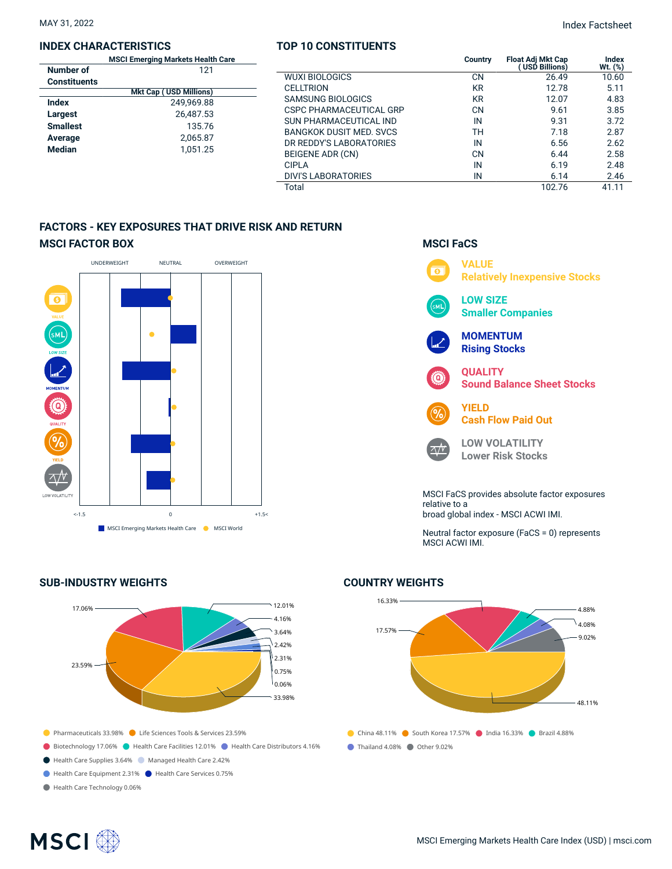#### **INDEX CHARACTERISTICS**

|                     | <b>MSCI Emerging Markets Health Care</b> |  |  |  |  |  |
|---------------------|------------------------------------------|--|--|--|--|--|
| Number of           | 121                                      |  |  |  |  |  |
| <b>Constituents</b> |                                          |  |  |  |  |  |
|                     | <b>Mkt Cap (USD Millions)</b>            |  |  |  |  |  |
| Index               | 249.969.88                               |  |  |  |  |  |
| Largest             | 26,487.53                                |  |  |  |  |  |
| <b>Smallest</b>     | 135.76                                   |  |  |  |  |  |
| Average             | 2,065.87                                 |  |  |  |  |  |
| <b>Median</b>       | 1.051.25                                 |  |  |  |  |  |
|                     |                                          |  |  |  |  |  |

## **TOP 10 CONSTITUENTS**

|                    | TOP 10 CONSTITUENTS            |           |                                                  |                  |
|--------------------|--------------------------------|-----------|--------------------------------------------------|------------------|
| lealth Care<br>121 |                                | Country   | <b>Float Adj Mkt Cap</b><br><b>USD Billions)</b> | Index<br>Wt. (%) |
|                    | <b>WUXI BIOLOGICS</b>          | CN        | 26.49                                            | 10.60            |
| ions)              | <b>CELLTRION</b>               | <b>KR</b> | 12.78                                            | 5.11             |
| 9.88               | <b>SAMSUNG BIOLOGICS</b>       | <b>KR</b> | 12.07                                            | 4.83             |
| 7.53               | <b>CSPC PHARMACEUTICAL GRP</b> | CΝ        | 9.61                                             | 3.85             |
| 5.76               | SUN PHARMACEUTICAL IND         | IN        | 9.31                                             | 3.72             |
|                    | <b>BANGKOK DUSIT MED. SVCS</b> | TН        | 7.18                                             | 2.87             |
| 5.87               | DR REDDY'S LABORATORIES        | IN        | 6.56                                             | 2.62             |
| 1.25               | BEIGENE ADR (CN)               | CΝ        | 6.44                                             | 2.58             |
|                    | <b>CIPLA</b>                   | IN        | 6.19                                             | 2.48             |
|                    | <b>DIVI'S LABORATORIES</b>     | IN        | 6.14                                             | 2.46             |
|                    | Total                          |           | 102.76                                           | 41.11            |

## **FACTORS - KEY EXPOSURES THAT DRIVE RISK AND RETURN MSCI FACTOR BOX**



## **SUB-INDUSTRY WEIGHTS**





Neutral factor exposure (FaCS = 0) represents MSCI ACWI IMI.

## **COUNTRY WEIGHTS**